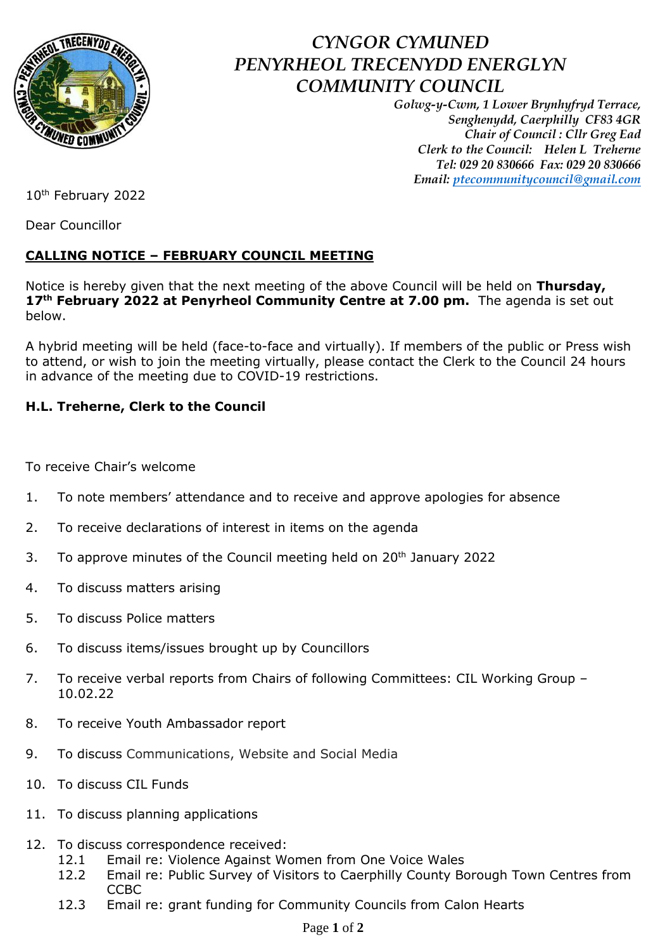

## *CYNGOR CYMUNED PENYRHEOL TRECENYDD ENERGLYN COMMUNITY COUNCIL*

*Golwg-y-Cwm, 1 Lower Brynhyfryd Terrace, Senghenydd, Caerphilly CF83 4GR Chair of Council : Cllr Greg Ead Clerk to the Council: Helen L Treherne Tel: 029 20 830666 Fax: 029 20 830666 Email: [ptecommunitycouncil@gmail.com](mailto:ptecommunitycouncil@gmail.com)*

10th February 2022

Dear Councillor

## **CALLING NOTICE – FEBRUARY COUNCIL MEETING**

Notice is hereby given that the next meeting of the above Council will be held on **Thursday, 17th February 2022 at Penyrheol Community Centre at 7.00 pm.** The agenda is set out below.

A hybrid meeting will be held (face-to-face and virtually). If members of the public or Press wish to attend, or wish to join the meeting virtually, please contact the Clerk to the Council 24 hours in advance of the meeting due to COVID-19 restrictions.

## **H.L. Treherne, Clerk to the Council**

To receive Chair's welcome

- 1. To note members' attendance and to receive and approve apologies for absence
- 2. To receive declarations of interest in items on the agenda
- 3. To approve minutes of the Council meeting held on  $20^{th}$  January 2022
- 4. To discuss matters arising
- 5. To discuss Police matters
- 6. To discuss items/issues brought up by Councillors
- 7. To receive verbal reports from Chairs of following Committees: CIL Working Group -10.02.22
- 8. To receive Youth Ambassador report
- 9. To discuss Communications, Website and Social Media
- 10. To discuss CIL Funds
- 11. To discuss planning applications
- 12. To discuss correspondence received:
	- 12.1 Email re: Violence Against Women from One Voice Wales
	- 12.2 Email re: Public Survey of Visitors to Caerphilly County Borough Town Centres from **CCBC**
	- 12.3 Email re: grant funding for Community Councils from Calon Hearts